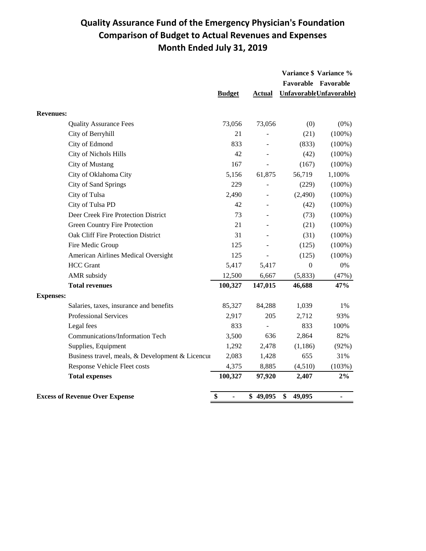## **Quality Assurance Fund of the Emergency Physician's Foundation Comparison of Budget to Actual Revenues and Expenses Month Ended July 31, 2019**

|                                                  |               |               | Variance \$ Variance % |                         |
|--------------------------------------------------|---------------|---------------|------------------------|-------------------------|
|                                                  |               |               |                        | Favorable Favorable     |
|                                                  | <b>Budget</b> | <b>Actual</b> |                        | UnfavorableUnfavorable) |
| <b>Revenues:</b>                                 |               |               |                        |                         |
| <b>Quality Assurance Fees</b>                    | 73,056        | 73,056        | (0)                    | $(0\%)$                 |
| City of Berryhill                                | 21            |               | (21)                   | $(100\%)$               |
| City of Edmond                                   | 833           |               | (833)                  | $(100\%)$               |
| City of Nichols Hills                            | 42            |               | (42)                   | $(100\%)$               |
| City of Mustang                                  | 167           |               | (167)                  | $(100\%)$               |
| City of Oklahoma City                            | 5,156         | 61,875        | 56,719                 | 1,100%                  |
| City of Sand Springs                             | 229           |               | (229)                  | $(100\%)$               |
| City of Tulsa                                    | 2,490         |               | (2,490)                | $(100\%)$               |
| City of Tulsa PD                                 | 42            |               | (42)                   | $(100\%)$               |
| Deer Creek Fire Protection District              | 73            |               | (73)                   | $(100\%)$               |
| Green Country Fire Protection                    | 21            |               | (21)                   | $(100\%)$               |
| Oak Cliff Fire Protection District               | 31            |               | (31)                   | $(100\%)$               |
| Fire Medic Group                                 | 125           |               | (125)                  | $(100\%)$               |
| American Airlines Medical Oversight              | 125           |               | (125)                  | $(100\%)$               |
| <b>HCC</b> Grant                                 | 5,417         | 5,417         | $\boldsymbol{0}$       | $0\%$                   |
| AMR subsidy                                      | 12,500        | 6,667         | (5,833)                | (47%)                   |
| <b>Total revenues</b>                            | 100,327       | 147,015       | 46,688                 | 47%                     |
| <b>Expenses:</b>                                 |               |               |                        |                         |
| Salaries, taxes, insurance and benefits          | 85,327        | 84,288        | 1,039                  | 1%                      |
| <b>Professional Services</b>                     | 2,917         | 205           | 2,712                  | 93%                     |
| Legal fees                                       | 833           |               | 833                    | 100%                    |
| Communications/Information Tech                  | 3,500         | 636           | 2,864                  | 82%                     |
| Supplies, Equipment                              | 1,292         | 2,478         | (1, 186)               | (92%)                   |
| Business travel, meals, & Development & Licencur | 2,083         | 1,428         | 655                    | 31%                     |
| Response Vehicle Fleet costs                     | 4,375         | 8,885         | (4,510)                | (103%)                  |
| <b>Total expenses</b>                            | 100,327       | 97,920        | 2,407                  | $2\%$                   |
| <b>Excess of Revenue Over Expense</b>            | \$<br>÷,      | \$49,095      | \$<br>49,095           |                         |